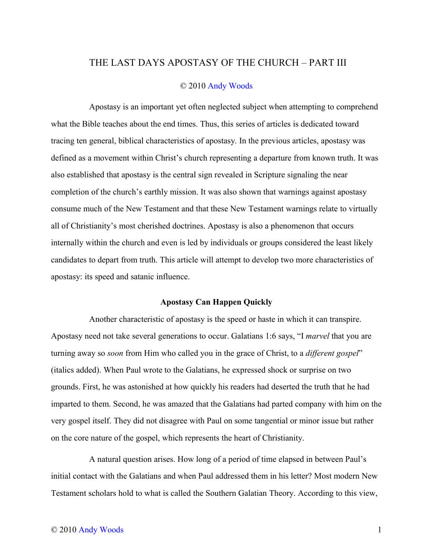## THE LAST DAYS APOSTASY OF THE CHURCH – PART III

## © 2010 [Andy Woods](http://www.spiritandtruth.org/teaching/teachers/andy_woods/bio.htm)

Apostasy is an important yet often neglected subject when attempting to comprehend what the Bible teaches about the end times. Thus, this series of articles is dedicated toward tracing ten general, biblical characteristics of apostasy. In the previous articles, apostasy was defined as a movement within Christ's church representing a departure from known truth. It was also established that apostasy is the central sign revealed in Scripture signaling the near completion of the church's earthly mission. It was also shown that warnings against apostasy consume much of the New Testament and that these New Testament warnings relate to virtually all of Christianity's most cherished doctrines. Apostasy is also a phenomenon that occurs internally within the church and even is led by individuals or groups considered the least likely candidates to depart from truth. This article will attempt to develop two more characteristics of apostasy: its speed and satanic influence.

## **Apostasy Can Happen Quickly**

Another characteristic of apostasy is the speed or haste in which it can transpire. Apostasy need not take several generations to occur. Galatians 1:6 says, "I *marvel* that you are turning away so *soon* from Him who called you in the grace of Christ, to a *different gospel*" (italics added). When Paul wrote to the Galatians, he expressed shock or surprise on two grounds. First, he was astonished at how quickly his readers had deserted the truth that he had imparted to them. Second, he was amazed that the Galatians had parted company with him on the very gospel itself. They did not disagree with Paul on some tangential or minor issue but rather on the core nature of the gospel, which represents the heart of Christianity.

A natural question arises. How long of a period of time elapsed in between Paul's initial contact with the Galatians and when Paul addressed them in his letter? Most modern New Testament scholars hold to what is called the Southern Galatian Theory. According to this view,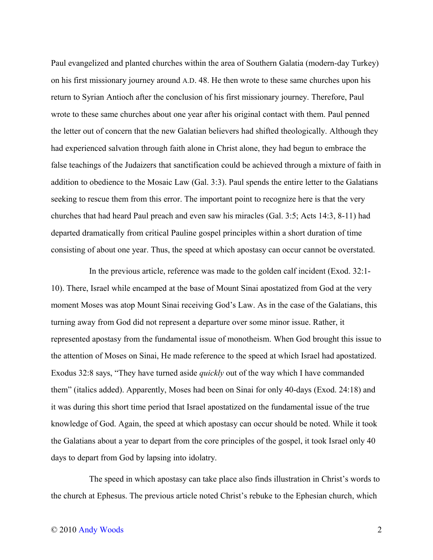Paul evangelized and planted churches within the area of Southern Galatia (modern-day Turkey) on his first missionary journey around A.D. 48. He then wrote to these same churches upon his return to Syrian Antioch after the conclusion of his first missionary journey. Therefore, Paul wrote to these same churches about one year after his original contact with them. Paul penned the letter out of concern that the new Galatian believers had shifted theologically. Although they had experienced salvation through faith alone in Christ alone, they had begun to embrace the false teachings of the Judaizers that sanctification could be achieved through a mixture of faith in addition to obedience to the Mosaic Law (Gal. 3:3). Paul spends the entire letter to the Galatians seeking to rescue them from this error. The important point to recognize here is that the very churches that had heard Paul preach and even saw his miracles (Gal. 3:5; Acts 14:3, 8-11) had departed dramatically from critical Pauline gospel principles within a short duration of time consisting of about one year. Thus, the speed at which apostasy can occur cannot be overstated.

In the previous article, reference was made to the golden calf incident (Exod. 32:1- 10). There, Israel while encamped at the base of Mount Sinai apostatized from God at the very moment Moses was atop Mount Sinai receiving God's Law. As in the case of the Galatians, this turning away from God did not represent a departure over some minor issue. Rather, it represented apostasy from the fundamental issue of monotheism. When God brought this issue to the attention of Moses on Sinai, He made reference to the speed at which Israel had apostatized. Exodus 32:8 says, "They have turned aside *quickly* out of the way which I have commanded them" (italics added). Apparently, Moses had been on Sinai for only 40-days (Exod. 24:18) and it was during this short time period that Israel apostatized on the fundamental issue of the true knowledge of God. Again, the speed at which apostasy can occur should be noted. While it took the Galatians about a year to depart from the core principles of the gospel, it took Israel only 40 days to depart from God by lapsing into idolatry.

The speed in which apostasy can take place also finds illustration in Christ's words to the church at Ephesus. The previous article noted Christ's rebuke to the Ephesian church, which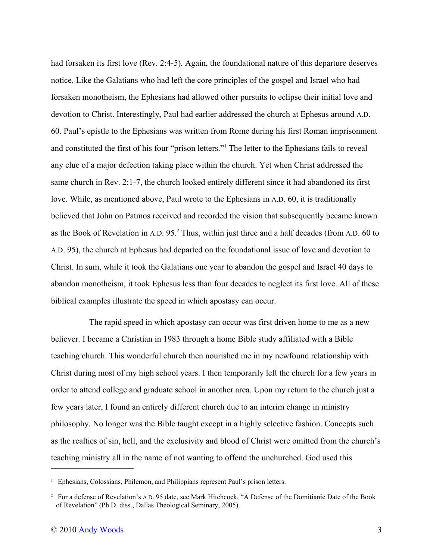had forsaken its first love (Rev. 2:4-5). Again, the foundational nature of this departure deserves notice. Like the Galatians who had left the core principles of the gospel and Israel who had forsaken monotheism, the Ephesians had allowed other pursuits to eclipse their initial love and devotion to Christ. Interestingly, Paul had earlier addressed the church at Ephesus around A.D. 60. Paul's epistle to the Ephesians was written from Rome during his first Roman imprisonment and constituted the first of his four "prison letters."[1](#page-2-0) The letter to the Ephesians fails to reveal any clue of a major defection taking place within the church. Yet when Christ addressed the same church in Rev. 2:1-7, the church looked entirely different since it had abandoned its first love. While, as mentioned above, Paul wrote to the Ephesians in A.D. 60, it is traditionally believed that John on Patmos received and recorded the vision that subsequently became known as the Book of Revelation in A.D. 95.<sup>[2](#page-2-1)</sup> Thus, within just three and a half decades (from A.D. 60 to A.D. 95), the church at Ephesus had departed on the foundational issue of love and devotion to Christ. In sum, while it took the Galatians one year to abandon the gospel and Israel 40 days to abandon monotheism, it took Ephesus less than four decades to neglect its first love. All of these biblical examples illustrate the speed in which apostasy can occur.

The rapid speed in which apostasy can occur was first driven home to me as a new believer. I became a Christian in 1983 through a home Bible study affiliated with a Bible teaching church. This wonderful church then nourished me in my newfound relationship with Christ during most of my high school years. I then temporarily left the church for a few years in order to attend college and graduate school in another area. Upon my return to the church just a few years later, I found an entirely different church due to an interim change in ministry philosophy. No longer was the Bible taught except in a highly selective fashion. Concepts such as the realties of sin, hell, and the exclusivity and blood of Christ were omitted from the church's teaching ministry all in the name of not wanting to offend the unchurched. God used this

<span id="page-2-0"></span><sup>&</sup>lt;sup>1</sup> Ephesians, Colossians, Philemon, and Philippians represent Paul's prison letters.

<span id="page-2-1"></span><sup>2</sup> For a defense of Revelation's A.D. 95 date, see Mark Hitchcock, "A Defense of the Domitianic Date of the Book of Revelation" (Ph.D. diss., Dallas Theological Seminary, 2005).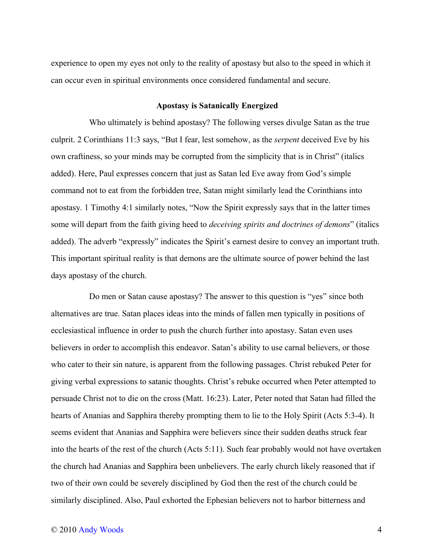experience to open my eyes not only to the reality of apostasy but also to the speed in which it can occur even in spiritual environments once considered fundamental and secure.

## **Apostasy is Satanically Energized**

Who ultimately is behind apostasy? The following verses divulge Satan as the true culprit. 2 Corinthians 11:3 says, "But I fear, lest somehow, as the *serpent* deceived Eve by his own craftiness, so your minds may be corrupted from the simplicity that is in Christ" (italics added). Here, Paul expresses concern that just as Satan led Eve away from God's simple command not to eat from the forbidden tree, Satan might similarly lead the Corinthians into apostasy. 1 Timothy 4:1 similarly notes, "Now the Spirit expressly says that in the latter times some will depart from the faith giving heed to *deceiving spirits and doctrines of demons*" (italics added). The adverb "expressly" indicates the Spirit's earnest desire to convey an important truth. This important spiritual reality is that demons are the ultimate source of power behind the last days apostasy of the church.

Do men or Satan cause apostasy? The answer to this question is "yes" since both alternatives are true. Satan places ideas into the minds of fallen men typically in positions of ecclesiastical influence in order to push the church further into apostasy. Satan even uses believers in order to accomplish this endeavor. Satan's ability to use carnal believers, or those who cater to their sin nature, is apparent from the following passages. Christ rebuked Peter for giving verbal expressions to satanic thoughts. Christ's rebuke occurred when Peter attempted to persuade Christ not to die on the cross (Matt. 16:23). Later, Peter noted that Satan had filled the hearts of Ananias and Sapphira thereby prompting them to lie to the Holy Spirit (Acts 5:3-4). It seems evident that Ananias and Sapphira were believers since their sudden deaths struck fear into the hearts of the rest of the church (Acts 5:11). Such fear probably would not have overtaken the church had Ananias and Sapphira been unbelievers. The early church likely reasoned that if two of their own could be severely disciplined by God then the rest of the church could be similarly disciplined. Also, Paul exhorted the Ephesian believers not to harbor bitterness and